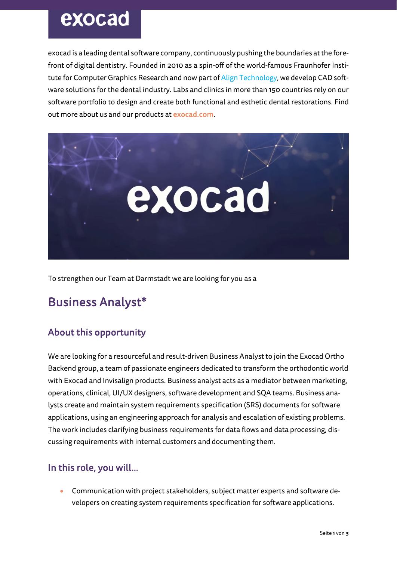# exocad

exocad is a leading dental software company, continuously pushing the boundaries at the forefront of digital dentistry. Founded in 2010 as a spin-off of the world-famous Fraunhofer Institute for Computer Graphics Research and now part of Align Technology, we develop CAD software solutions for the dental industry. Labs and clinics in more than 150 countries rely on our software portfolio to design and create both functional and esthetic dental restorations. Find out more about us and our products at exocad.com.



To strengthen our Team at Darmstadt we are looking for you as a

## Business Analyst\*

### About this opportunity

We are looking for a resourceful and result-driven Business Analyst to join the Exocad Ortho Backend group, a team of passionate engineers dedicated to transform the orthodontic world with Exocad and Invisalign products. Business analyst acts as a mediator between marketing, operations, clinical, UI/UX designers, software development and SQA teams. Business analysts create and maintain system requirements specification (SRS) documents for software applications, using an engineering approach for analysis and escalation of existing problems. The work includes clarifying business requirements for data flows and data processing, discussing requirements with internal customers and documenting them.

### In this role, you will…

• Communication with project stakeholders, subject matter experts and software developers on creating system requirements specification for software applications.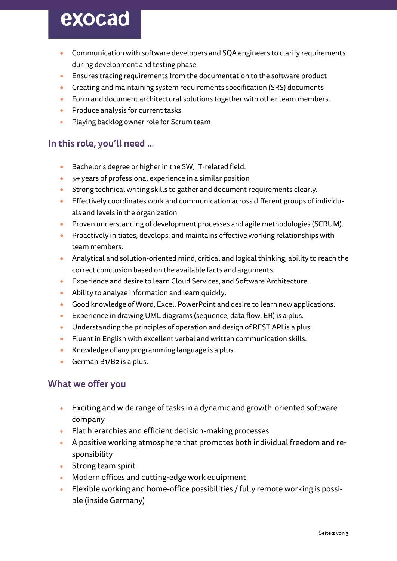# exocad

- Communication with software developers and SQA engineers to clarify requirements during development and testing phase.
- Ensures tracing requirements from the documentation to the software product
- Creating and maintaining system requirements specification (SRS) documents
- Form and document architectural solutions together with other team members.
- Produce analysis for current tasks.
- Playing backlog owner role for Scrum team

### In this role, you'll need …

- Bachelor's degree or higher in the SW, IT-related field.
- 5+ years of professional experience in a similar position
- Strong technical writing skills to gather and document requirements clearly.
- Effectively coordinates work and communication across different groups of individuals and levels in the organization.
- Proven understanding of development processes and agile methodologies (SCRUM).
- Proactively initiates, develops, and maintains effective working relationships with team members.
- Analytical and solution-oriented mind, critical and logical thinking, ability to reach the correct conclusion based on the available facts and arguments.
- Experience and desire to learn Cloud Services, and Software Architecture.
- Ability to analyze information and learn quickly.
- Good knowledge of Word, Excel, PowerPoint and desire to learn new applications.
- Experience in drawing UML diagrams (sequence, data flow, ER) is a plus.
- Understanding the principles of operation and design of REST API is a plus.
- Fluent in English with excellent verbal and written communication skills.
- Knowledge of any programming language is a plus.
- German B1/B2 is a plus.

### What we offer you

- Exciting and wide range of tasks in a dynamic and growth-oriented software company
- Flat hierarchies and efficient decision-making processes
- A positive working atmosphere that promotes both individual freedom and responsibility
- Strong team spirit
- Modern offices and cutting-edge work equipment
- Flexible working and home-office possibilities / fully remote working is possible (inside Germany)